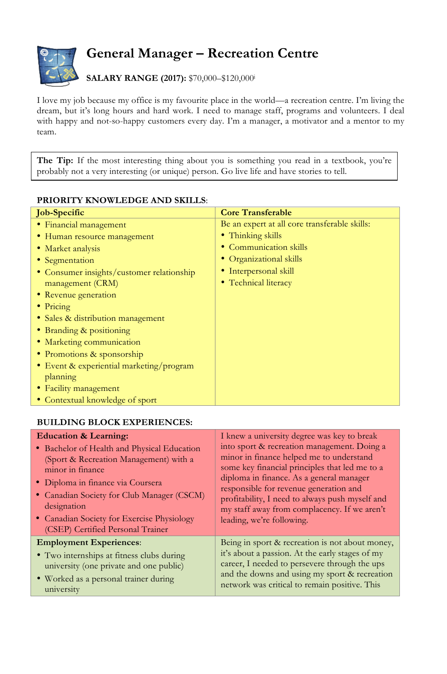

## **General Manager – Recreation Centre**

**SALARY RANGE (2017):** \$70,000–\$120,000i

I love my job because my office is my favourite place in the world—a recreation centre. I'm living the dream, but it's long hours and hard work. I need to manage staff, programs and volunteers. I deal with happy and not-so-happy customers every day. I'm a manager, a motivator and a mentor to my team.

The Tip: If the most interesting thing about you is something you read in a textbook, you're probably not a very interesting (or unique) person. Go live life and have stories to tell.

| FINIONI I I NIVOWEEDGE AIND SNIEES.       |                                               |  |
|-------------------------------------------|-----------------------------------------------|--|
| <b>Job-Specific</b>                       | <b>Core Transferable</b>                      |  |
| • Financial management                    | Be an expert at all core transferable skills: |  |
| • Human resource management               | • Thinking skills                             |  |
| • Market analysis                         | • Communication skills                        |  |
| • Segmentation                            | • Organizational skills                       |  |
| • Consumer insights/customer relationship | • Interpersonal skill                         |  |
| management (CRM)                          | • Technical literacy                          |  |
| • Revenue generation                      |                                               |  |
| $\bullet$ Pricing                         |                                               |  |
| • Sales & distribution management         |                                               |  |
| • Branding & positioning                  |                                               |  |
| • Marketing communication                 |                                               |  |
| • Promotions & sponsorship                |                                               |  |
| • Event & experiential marketing/program  |                                               |  |
| planning                                  |                                               |  |
| • Facility management                     |                                               |  |
| • Contextual knowledge of sport           |                                               |  |

## **PRIORITY KNOWLEDGE AND SKILLS:**

## **BUILDING BLOCK EXPERIENCES:**

| <b>Education &amp; Learning:</b>            | I knew a university degree was key to break     |
|---------------------------------------------|-------------------------------------------------|
| • Bachelor of Health and Physical Education | into sport & recreation management. Doing a     |
| (Sport & Recreation Management) with a      | minor in finance helped me to understand        |
| minor in finance                            | some key financial principles that led me to a  |
| • Diploma in finance via Coursera           | diploma in finance. As a general manager        |
| • Canadian Society for Club Manager (CSCM)  | responsible for revenue generation and          |
| designation                                 | profitability, I need to always push myself and |
| • Canadian Society for Exercise Physiology  | my staff away from complacency. If we aren't    |
| (CSEP) Certified Personal Trainer           | leading, we're following.                       |
| <b>Employment Experiences:</b>              | Being in sport & recreation is not about money, |
| • Two internships at fitness clubs during   | it's about a passion. At the early stages of my |
| university (one private and one public)     | career, I needed to persevere through the ups   |
| • Worked as a personal trainer during       | and the downs and using my sport & recreation   |
| university                                  | network was critical to remain positive. This   |